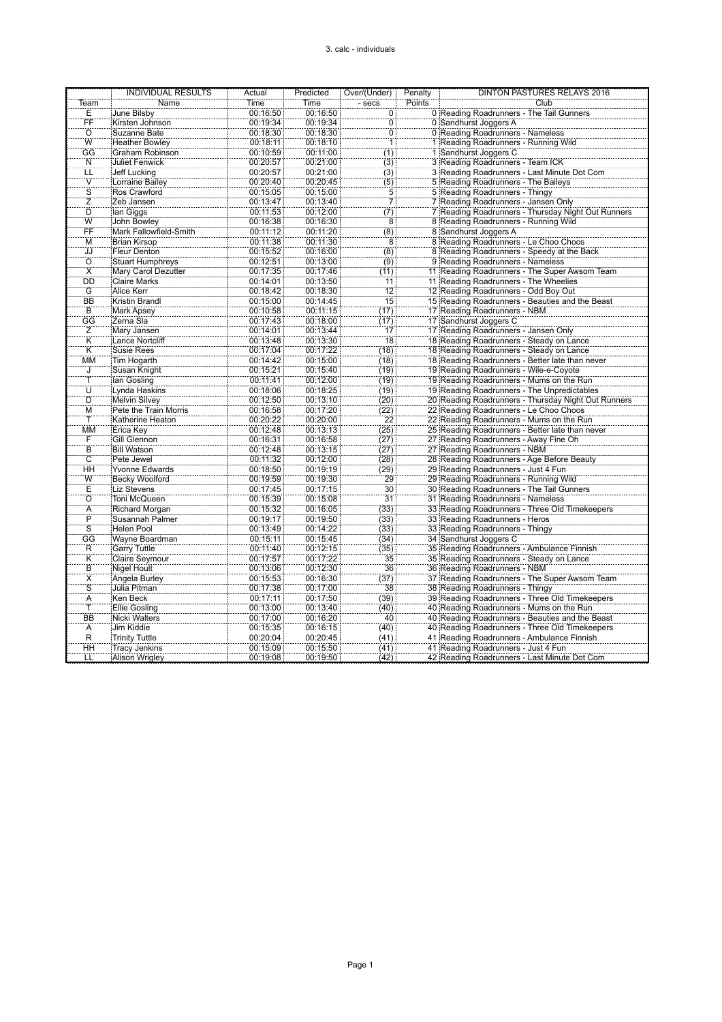## 3. calc - individuals

|                         | <b>INDIVIDUAL RESULTS</b>  | Actual   | Predicted | Over/(Under)    | Penalty | DINTON PASTURES RELAYS 2016                         |
|-------------------------|----------------------------|----------|-----------|-----------------|---------|-----------------------------------------------------|
| Team                    | Name                       | Time     | Time      | - secs          | Points  | Club                                                |
| Ε                       | June Bilsby                | 00:16:50 | 00:16:50  | 0               |         | 0 Reading Roadrunners - The Tail Gunners            |
| ΪF                      | Kirsten Johnson            | 00:19:34 | 00:19:34  | Ö               |         | 0 Sandhurst Joggers A                               |
| ö                       | Suzanne Bate               | 00:18:30 | 00:18:30  | $\overline{0}$  |         | 0 Reading Roadrunners - Nameless                    |
| Ŵ                       | <b>Heather Bowley</b>      | 00:18:11 | 00:18:10  | Ŧ               |         | 1 Reading Roadrunners - Running Wild                |
| GG                      | Graham Robinson            | 00:10:59 | 00:11:00  | (1)             |         | 1 Sandhurst Joggers C                               |
| Ñ                       | <b>Juliet Fenwick</b>      | 00:20:57 | 00:21:00  | (3)             |         | 3 Reading Roadrunners - Team ICK                    |
| ΪË                      | Jeff Lucking               | 00:20:57 | 00:21:00  | (3)             |         | 3 Reading Roadrunners - Last Minute Dot Com         |
| Ŵ                       | Lorraine Bailey            | 00:20:40 | 00:20:45  |                 |         | 5 Reading Roadrunners - The Baileys                 |
| S                       | Ros Crawford               | 00:15:05 | 00:15:00  | (5)<br>5        |         | 5 Reading Roadrunners - Thingy                      |
| z                       | Zeb Jansen                 | 00:13:47 | 00:13:40  | 71              |         | 7 Reading Roadrunners - Jansen Only                 |
| Ď                       |                            |          | 00:12:00  |                 |         |                                                     |
| Ŵ                       | lan Giggs                  | 00:11:53 |           | (7)             |         | 7 Reading Roadrunners - Thursday Night Out Runners  |
|                         | John Bowley                | 00:16:38 | 00:16:30  | 8:              |         | 8 Reading Roadrunners - Running Wild                |
| ËË                      | Mark Fallowfield-Smith     | 00:11:12 | 00:11:20  | (8)             |         | 8 Sandhurst Joggers A                               |
| М                       | <b>Brian Kirsop</b>        | 00:11:38 | 00:11:30  | 8               |         | 8 Reading Roadrunners - Le Choo Choos               |
| ĴĴ                      | Fleur Denton               | 00:15:52 | 00:16:00  | (8)             |         | 8 Reading Roadrunners - Speedy at the Back          |
| $\overline{O}$          | <b>Stuart Humphreys</b>    | 00:12:51 | 00:13:00  | (9)             |         | 9 Reading Roadrunners - Nameless                    |
| $\overline{\mathsf{x}}$ | <b>Mary Carol Dezutter</b> | 00:17:35 | 00:17:46  | (11)            |         | 11 Reading Roadrunners - The Super Awsom Team       |
| DD                      | <b>Claire Marks</b>        | 00:14:01 | 00:13:50  | 11              |         | 11 Reading Roadrunners - The Wheelies               |
| Ĝ                       | Alice Kerr                 | 00:18:42 | 00:18:30  | $\overline{12}$ |         | 12 Reading Roadrunners - Odd Boy Out                |
| <b>BB</b>               | <b>Kristin Brandl</b>      | 00:15:00 | 00:14:45  | $\overline{15}$ |         | 15 Reading Roadrunners - Beauties and the Beas      |
| B                       | <b>Mark Apsey</b>          | 00:10:58 | 00:11:15  | (17)            |         | 17 Reading Roadrunners - NBM                        |
| ĜĜ                      | Zerna Sla                  | 00:17:43 | 00:18:00  | (17)            |         | 17 Sandhurst Joggers C                              |
| Ζ                       | Mary Jansen                | 00:14:01 | 00:13:44  | 17              |         | 17 Reading Roadrunners - Jansen Only                |
| $\overline{\mathsf{K}}$ | Lance Nortcliff            | 00:13:48 | 00:13:30  | 18              |         | 18 Reading Roadrunners - Steady on Lance            |
| K                       | <b>Susie Rees</b>          | 00:17:04 | 00:17:22  | (18)            |         | 18 Reading Roadrunners - Steady on Lance            |
| ΜМ                      | Tim Hogarth                | 00:14:42 | 00:15:00  | (18)            |         | 18 Reading Roadrunners - Better late than never     |
| J                       | Susan Knight               | 00:15:21 | 00:15:40  | (19)            |         | 19 Reading Roadrunners - Wile-e-Coyote              |
|                         | lan Gosling                | 00:11:41 | 00:12:00  | (19)            |         | 19 Reading Roadrunners - Mums on the Run            |
| Ū                       | Lynda Haskins              | 00:18:06 | 00:18:25  | (19)            |         | 19 Reading Roadrunners - The Unpredictables         |
| D                       | <b>Melvin Silvey</b>       | 00:12:50 | 00:13:10  | (20)            |         | 20 Reading Roadrunners - Thursday Night Out Runners |
| M                       | Pete the Train Morris      | 00:16:58 | 00:17:20  | (22)            |         | 22 Reading Roadrunners - Le Choo Choos              |
| Ŧ                       | Katherine Heaton           | 00:20:22 | 00:20:00  | $\overline{22}$ |         | 22 Reading Roadrunners - Mums on the Run            |
| MM                      | Erica Key                  | 00:12:48 | 00:13:13  | (25)            |         | 25 Reading Roadrunners - Better late than never     |
| Ŧ                       | Gill Glennon               | 00:16:31 | 00:16:58  | (27)            |         | 27 Reading Roadrunners - Away Fine Oh               |
| Ë.                      | <b>Bill Watson</b>         | 00:12:48 | 00:13:15  | (27)            |         | 27 Reading Roadrunners - NBM                        |
| $\overline{C}$          | Pete Jewel                 | 00:11:32 | 00:12:00  | (28)            |         | 28 Reading Roadrunners - Age Before Beauty          |
| ΗĤ                      | <b>Yvonne Edwards</b>      | 00:18:50 | 00:19:19  | (29)            |         | 29 Reading Roadrunners - Just 4 Fun                 |
| Ŵ                       | <b>Becky Woolford</b>      | 00:19:59 | 00:19:30  | 29              |         | 29 Reading Roadrunners - Running Wild               |
| Ë                       | <b>Liz Stevens</b>         | 00:17:45 | 00:17:15  | $\overline{30}$ |         | 30 Reading Roadrunners - The Tail Gunners           |
| ö                       | Toni McQueen               | 00:15:39 | 00:15:08  | 31              |         | 31 Reading Roadrunners - Nameless                   |
| A                       | Richard Morgan             | 00:15:32 | 00:16:05  | (33)            |         | 33 Reading Roadrunners - Three Old Timekeepers      |
| $\overline{P}$          | Susannah Palmer            | 00:19:17 | 00:19:50  | (33)            |         | 33 Reading Roadrunners - Heros                      |
| $\overline{s}$          | <b>Helen Pool</b>          | 00:13:49 | 00:14:22  | (33)            |         | 33 Reading Roadrunners - Thingy                     |
| ĜĜ                      | Wayne Boardman             | 00:15:11 | 00:15:45  | (34)            |         | 34 Sandhurst Joggers C                              |
| Ŕ                       | <b>Garry Tuttle</b>        | 00:11:40 | 00:12:15  | (35)            |         | 35 Reading Roadrunners - Ambulance Finnish          |
| Κ                       | <b>Claire Seymour</b>      | 00:17:57 | 00:17:22  | 35              |         | 35 Reading Roadrunners - Steady on Lance            |
| B                       | Nigel Hoult                | 00:13:06 | 00:12:30  | 36              |         | 36 Reading Roadrunners - NBM                        |
| X                       | Angela Burley              | 00:15:53 | 00:16:30  | (37)            |         | 37 Reading Roadrunners - The Super Awsom Team       |
| $\overline{s}$          | Julia Pitman               | 00:17:38 | 00:17:00  | 38              |         | 38 Reading Roadrunners - Thingy                     |
| Ä                       | <b>Ken Beck</b>            | 00:17:11 | 00:17:50  | (39)            |         | 39 Reading Roadrunners - Three Old Timekeepers      |
|                         | <b>Ellie Gosling</b>       | 00:13:00 | 00:13:40  | (40)            |         | 40 Reading Roadrunners - Mums on the Run            |
| <b>BB</b>               | <b>Nicki Walters</b>       | 00:17:00 | 00:16:20  | 40              |         | 40 Reading Roadrunners - Beauties and the Beast     |
| Α                       | Jim Kiddie                 | 00:15:35 | 00:16:15  | (40)            |         | 40 Reading Roadrunners - Three Old Timekeepers      |
| $\overline{R}$          | <b>Trinity Tuttle</b>      | 00:20:04 | 00:20:45  | (41)            |         | 41 Reading Roadrunners - Ambulance Finnish          |
| ΉH                      | <b>Tracy Jenkins</b>       | 00:15:09 | 00:15:50  | (41)            |         | 41 Reading Roadrunners - Just 4 Fun                 |
| LL                      | Alison Wrigley             | 00:19:08 | 00:19:50  | (42)            |         | 42 Reading Roadrunners - Last Minute Dot Com        |